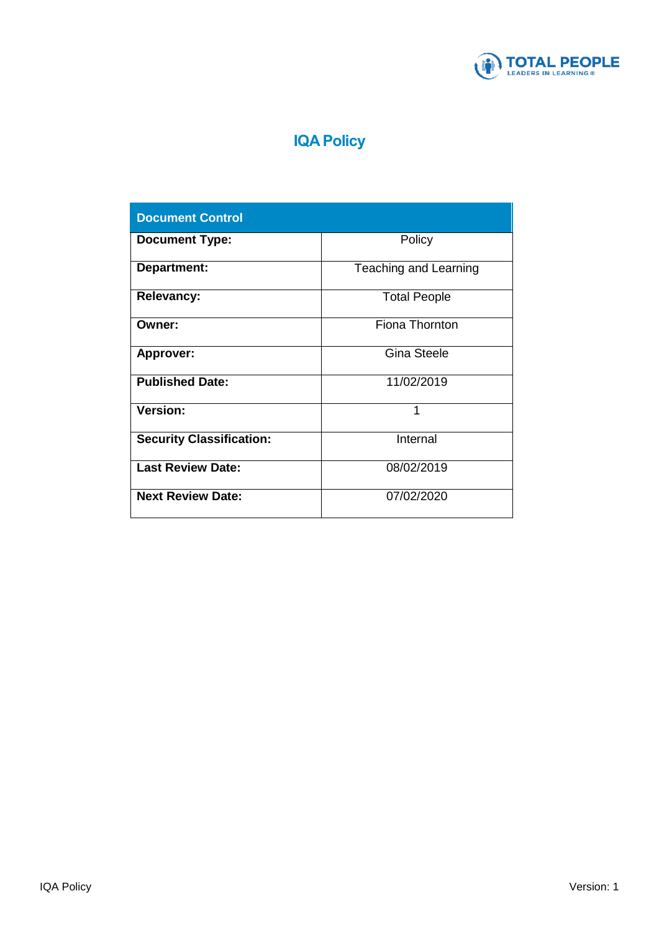

# **IQA Policy**

| <b>Document Control</b>         |                       |
|---------------------------------|-----------------------|
| <b>Document Type:</b>           | Policy                |
| Department:                     | Teaching and Learning |
| <b>Relevancy:</b>               | <b>Total People</b>   |
| Owner:                          | Fiona Thornton        |
| <b>Approver:</b>                | <b>Gina Steele</b>    |
| <b>Published Date:</b>          | 11/02/2019            |
| <b>Version:</b>                 | 1                     |
| <b>Security Classification:</b> | Internal              |
| <b>Last Review Date:</b>        | 08/02/2019            |
| <b>Next Review Date:</b>        | 07/02/2020            |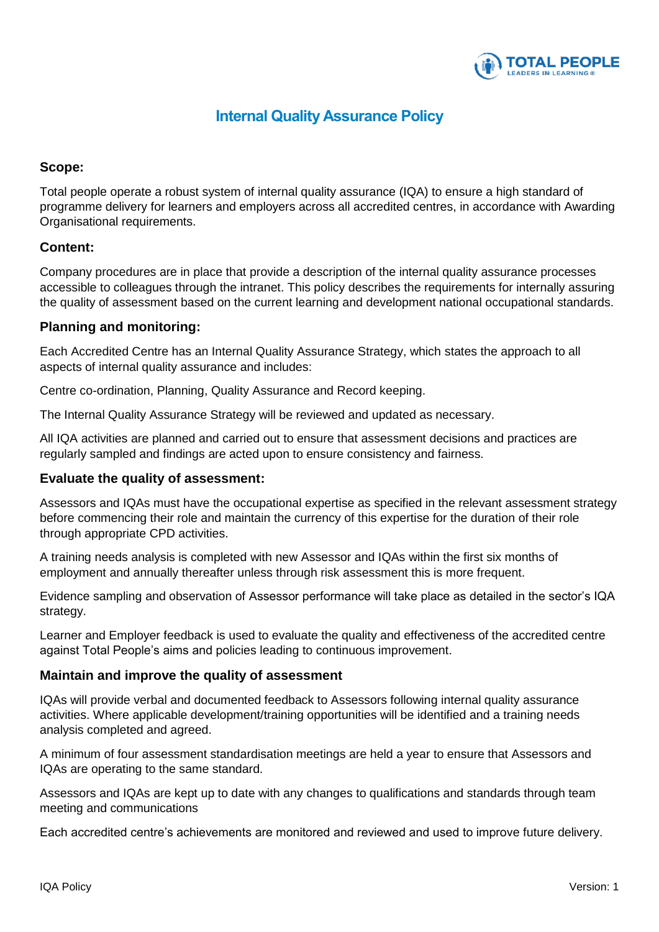

# **Internal Quality Assurance Policy**

## **Scope:**

Total people operate a robust system of internal quality assurance (IQA) to ensure a high standard of programme delivery for learners and employers across all accredited centres, in accordance with Awarding Organisational requirements.

## **Content:**

Company procedures are in place that provide a description of the internal quality assurance processes accessible to colleagues through the intranet. This policy describes the requirements for internally assuring the quality of assessment based on the current learning and development national occupational standards.

## **Planning and monitoring:**

Each Accredited Centre has an Internal Quality Assurance Strategy, which states the approach to all aspects of internal quality assurance and includes:

Centre co-ordination, Planning, Quality Assurance and Record keeping.

The Internal Quality Assurance Strategy will be reviewed and updated as necessary.

All IQA activities are planned and carried out to ensure that assessment decisions and practices are regularly sampled and findings are acted upon to ensure consistency and fairness.

#### **Evaluate the quality of assessment:**

Assessors and IQAs must have the occupational expertise as specified in the relevant assessment strategy before commencing their role and maintain the currency of this expertise for the duration of their role through appropriate CPD activities.

A training needs analysis is completed with new Assessor and IQAs within the first six months of employment and annually thereafter unless through risk assessment this is more frequent.

Evidence sampling and observation of Assessor performance will take place as detailed in the sector's IQA strategy.

Learner and Employer feedback is used to evaluate the quality and effectiveness of the accredited centre against Total People's aims and policies leading to continuous improvement.

#### **Maintain and improve the quality of assessment**

IQAs will provide verbal and documented feedback to Assessors following internal quality assurance activities. Where applicable development/training opportunities will be identified and a training needs analysis completed and agreed.

A minimum of four assessment standardisation meetings are held a year to ensure that Assessors and IQAs are operating to the same standard.

Assessors and IQAs are kept up to date with any changes to qualifications and standards through team meeting and communications

Each accredited centre's achievements are monitored and reviewed and used to improve future delivery.